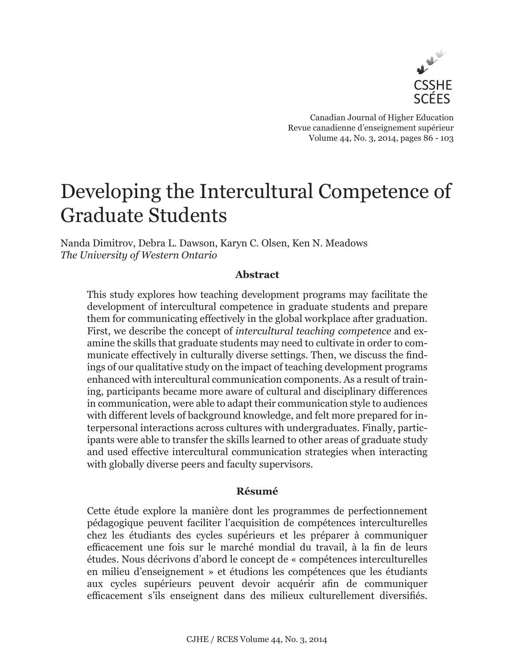

Canadian Journal of Higher Education Revue canadienne d'enseignement supérieur Volume 44, No. 3, 2014, pages 86 - 103

# Developing the Intercultural Competence of Graduate Students

Nanda Dimitrov, Debra L. Dawson, Karyn C. Olsen, Ken N. Meadows *The University of Western Ontario*

## **Abstract**

This study explores how teaching development programs may facilitate the development of intercultural competence in graduate students and prepare them for communicating effectively in the global workplace after graduation. First, we describe the concept of *intercultural teaching competence* and examine the skills that graduate students may need to cultivate in order to communicate effectively in culturally diverse settings. Then, we discuss the findings of our qualitative study on the impact of teaching development programs enhanced with intercultural communication components. As a result of training, participants became more aware of cultural and disciplinary differences in communication, were able to adapt their communication style to audiences with different levels of background knowledge, and felt more prepared for interpersonal interactions across cultures with undergraduates. Finally, participants were able to transfer the skills learned to other areas of graduate study and used effective intercultural communication strategies when interacting with globally diverse peers and faculty supervisors.

## **Résumé**

Cette étude explore la manière dont les programmes de perfectionnement pédagogique peuvent faciliter l'acquisition de compétences interculturelles chez les étudiants des cycles supérieurs et les préparer à communiquer efficacement une fois sur le marché mondial du travail, à la fin de leurs études. Nous décrivons d'abord le concept de « compétences interculturelles en milieu d'enseignement » et étudions les compétences que les étudiants aux cycles supérieurs peuvent devoir acquérir afin de communiquer efficacement s'ils enseignent dans des milieux culturellement diversifiés.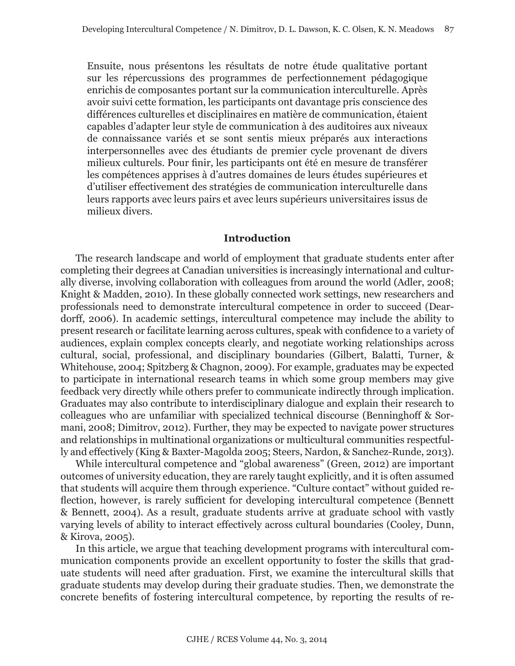Ensuite, nous présentons les résultats de notre étude qualitative portant sur les répercussions des programmes de perfectionnement pédagogique enrichis de composantes portant sur la communication interculturelle. Après avoir suivi cette formation, les participants ont davantage pris conscience des différences culturelles et disciplinaires en matière de communication, étaient capables d'adapter leur style de communication à des auditoires aux niveaux de connaissance variés et se sont sentis mieux préparés aux interactions interpersonnelles avec des étudiants de premier cycle provenant de divers milieux culturels. Pour finir, les participants ont été en mesure de transférer les compétences apprises à d'autres domaines de leurs études supérieures et d'utiliser effectivement des stratégies de communication interculturelle dans leurs rapports avec leurs pairs et avec leurs supérieurs universitaires issus de milieux divers.

#### **Introduction**

The research landscape and world of employment that graduate students enter after completing their degrees at Canadian universities is increasingly international and culturally diverse, involving collaboration with colleagues from around the world (Adler, 2008; Knight & Madden, 2010). In these globally connected work settings, new researchers and professionals need to demonstrate intercultural competence in order to succeed (Deardorff, 2006). In academic settings, intercultural competence may include the ability to present research or facilitate learning across cultures, speak with confidence to a variety of audiences, explain complex concepts clearly, and negotiate working relationships across cultural, social, professional, and disciplinary boundaries (Gilbert, Balatti, Turner, & Whitehouse, 2004; Spitzberg & Chagnon, 2009). For example, graduates may be expected to participate in international research teams in which some group members may give feedback very directly while others prefer to communicate indirectly through implication. Graduates may also contribute to interdisciplinary dialogue and explain their research to colleagues who are unfamiliar with specialized technical discourse (Benninghoff & Sormani, 2008; Dimitrov, 2012). Further, they may be expected to navigate power structures and relationships in multinational organizations or multicultural communities respectfully and effectively (King & Baxter-Magolda 2005; Steers, Nardon, & Sanchez-Runde, 2013).

While intercultural competence and "global awareness" (Green, 2012) are important outcomes of university education, they are rarely taught explicitly, and it is often assumed that students will acquire them through experience. "Culture contact" without guided reflection, however, is rarely sufficient for developing intercultural competence (Bennett & Bennett, 2004). As a result, graduate students arrive at graduate school with vastly varying levels of ability to interact effectively across cultural boundaries (Cooley, Dunn, & Kirova, 2005).

In this article, we argue that teaching development programs with intercultural communication components provide an excellent opportunity to foster the skills that graduate students will need after graduation. First, we examine the intercultural skills that graduate students may develop during their graduate studies. Then, we demonstrate the concrete benefits of fostering intercultural competence, by reporting the results of re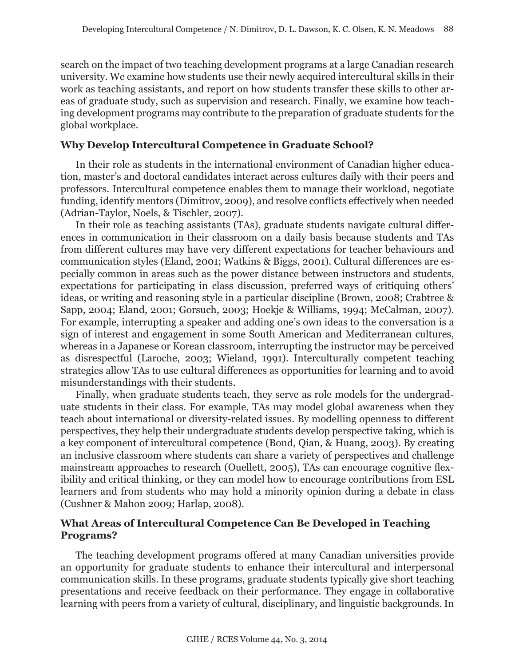search on the impact of two teaching development programs at a large Canadian research university. We examine how students use their newly acquired intercultural skills in their work as teaching assistants, and report on how students transfer these skills to other areas of graduate study, such as supervision and research. Finally, we examine how teaching development programs may contribute to the preparation of graduate students for the global workplace.

## **Why Develop Intercultural Competence in Graduate School?**

In their role as students in the international environment of Canadian higher education, master's and doctoral candidates interact across cultures daily with their peers and professors. Intercultural competence enables them to manage their workload, negotiate funding, identify mentors (Dimitrov, 2009), and resolve conflicts effectively when needed (Adrian-Taylor, Noels, & Tischler, 2007).

In their role as teaching assistants (TAs), graduate students navigate cultural differences in communication in their classroom on a daily basis because students and TAs from different cultures may have very different expectations for teacher behaviours and communication styles (Eland, 2001; Watkins & Biggs, 2001). Cultural differences are especially common in areas such as the power distance between instructors and students, expectations for participating in class discussion, preferred ways of critiquing others' ideas, or writing and reasoning style in a particular discipline (Brown, 2008; Crabtree & Sapp, 2004; Eland, 2001; Gorsuch, 2003; Hoekje & Williams, 1994; McCalman, 2007). For example, interrupting a speaker and adding one's own ideas to the conversation is a sign of interest and engagement in some South American and Mediterranean cultures, whereas in a Japanese or Korean classroom, interrupting the instructor may be perceived as disrespectful (Laroche, 2003; Wieland, 1991). Interculturally competent teaching strategies allow TAs to use cultural differences as opportunities for learning and to avoid misunderstandings with their students.

Finally, when graduate students teach, they serve as role models for the undergraduate students in their class. For example, TAs may model global awareness when they teach about international or diversity-related issues. By modelling openness to different perspectives, they help their undergraduate students develop perspective taking, which is a key component of intercultural competence (Bond, Qian, & Huang, 2003). By creating an inclusive classroom where students can share a variety of perspectives and challenge mainstream approaches to research (Ouellett, 2005), TAs can encourage cognitive flexibility and critical thinking, or they can model how to encourage contributions from ESL learners and from students who may hold a minority opinion during a debate in class (Cushner & Mahon 2009; Harlap, 2008).

# **What Areas of Intercultural Competence Can Be Developed in Teaching Programs?**

The teaching development programs offered at many Canadian universities provide an opportunity for graduate students to enhance their intercultural and interpersonal communication skills. In these programs, graduate students typically give short teaching presentations and receive feedback on their performance. They engage in collaborative learning with peers from a variety of cultural, disciplinary, and linguistic backgrounds. In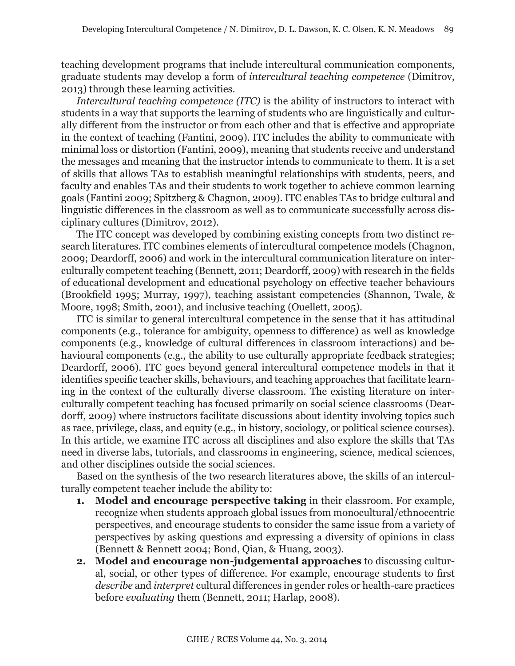teaching development programs that include intercultural communication components, graduate students may develop a form of *intercultural teaching competence* (Dimitrov, 2013) through these learning activities.

*Intercultural teaching competence (ITC)* is the ability of instructors to interact with students in a way that supports the learning of students who are linguistically and culturally different from the instructor or from each other and that is effective and appropriate in the context of teaching (Fantini, 2009). ITC includes the ability to communicate with minimal loss or distortion (Fantini, 2009), meaning that students receive and understand the messages and meaning that the instructor intends to communicate to them. It is a set of skills that allows TAs to establish meaningful relationships with students, peers, and faculty and enables TAs and their students to work together to achieve common learning goals (Fantini 2009; Spitzberg & Chagnon, 2009). ITC enables TAs to bridge cultural and linguistic differences in the classroom as well as to communicate successfully across disciplinary cultures (Dimitrov, 2012).

The ITC concept was developed by combining existing concepts from two distinct research literatures. ITC combines elements of intercultural competence models (Chagnon, 2009; Deardorff, 2006) and work in the intercultural communication literature on interculturally competent teaching (Bennett, 2011; Deardorff, 2009) with research in the fields of educational development and educational psychology on effective teacher behaviours (Brookfield 1995; Murray, 1997), teaching assistant competencies (Shannon, Twale, & Moore, 1998; Smith, 2001), and inclusive teaching (Ouellett, 2005).

ITC is similar to general intercultural competence in the sense that it has attitudinal components (e.g., tolerance for ambiguity, openness to difference) as well as knowledge components (e.g., knowledge of cultural differences in classroom interactions) and behavioural components (e.g., the ability to use culturally appropriate feedback strategies; Deardorff, 2006). ITC goes beyond general intercultural competence models in that it identifies specific teacher skills, behaviours, and teaching approaches that facilitate learning in the context of the culturally diverse classroom. The existing literature on interculturally competent teaching has focused primarily on social science classrooms (Deardorff, 2009) where instructors facilitate discussions about identity involving topics such as race, privilege, class, and equity (e.g., in history, sociology, or political science courses). In this article, we examine ITC across all disciplines and also explore the skills that TAs need in diverse labs, tutorials, and classrooms in engineering, science, medical sciences, and other disciplines outside the social sciences.

Based on the synthesis of the two research literatures above, the skills of an interculturally competent teacher include the ability to:

- **1. Model and encourage perspective taking** in their classroom. For example, recognize when students approach global issues from monocultural/ethnocentric perspectives, and encourage students to consider the same issue from a variety of perspectives by asking questions and expressing a diversity of opinions in class (Bennett & Bennett 2004; Bond, Qian, & Huang, 2003).
- **2. Model and encourage non-judgemental approaches** to discussing cultural, social, or other types of difference. For example, encourage students to first *describe* and *interpret* cultural differences in gender roles or health-care practices before *evaluating* them (Bennett, 2011; Harlap, 2008).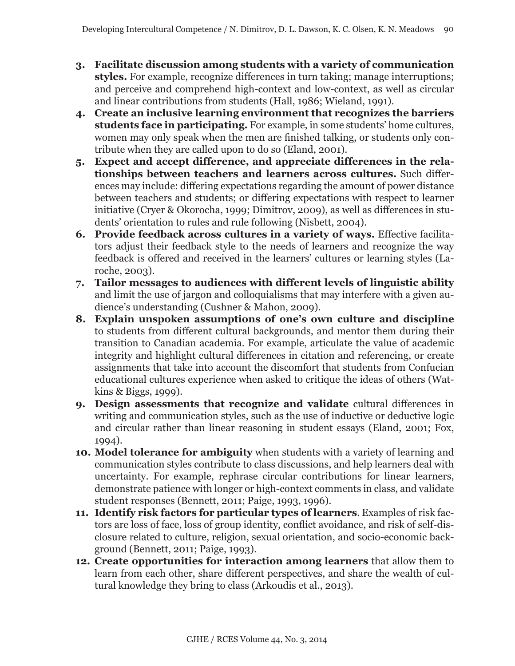- **3. Facilitate discussion among students with a variety of communication styles.** For example, recognize differences in turn taking; manage interruptions; and perceive and comprehend high-context and low-context, as well as circular and linear contributions from students (Hall, 1986; Wieland, 1991).
- **4. Create an inclusive learning environment that recognizes the barriers students face in participating.** For example, in some students' home cultures, women may only speak when the men are finished talking, or students only contribute when they are called upon to do so (Eland, 2001).
- **5. Expect and accept difference, and appreciate differences in the relationships between teachers and learners across cultures.** Such differences may include: differing expectations regarding the amount of power distance between teachers and students; or differing expectations with respect to learner initiative (Cryer & Okorocha, 1999; Dimitrov, 2009), as well as differences in students' orientation to rules and rule following (Nisbett, 2004).
- **6. Provide feedback across cultures in a variety of ways.** Effective facilitators adjust their feedback style to the needs of learners and recognize the way feedback is offered and received in the learners' cultures or learning styles (Laroche, 2003).
- **7. Tailor messages to audiences with different levels of linguistic ability** and limit the use of jargon and colloquialisms that may interfere with a given audience's understanding (Cushner & Mahon, 2009).
- **8. Explain unspoken assumptions of one's own culture and discipline** to students from different cultural backgrounds, and mentor them during their transition to Canadian academia. For example, articulate the value of academic integrity and highlight cultural differences in citation and referencing, or create assignments that take into account the discomfort that students from Confucian educational cultures experience when asked to critique the ideas of others (Watkins & Biggs, 1999).
- **9. Design assessments that recognize and validate** cultural differences in writing and communication styles, such as the use of inductive or deductive logic and circular rather than linear reasoning in student essays (Eland, 2001; Fox, 1994).
- **10. Model tolerance for ambiguity** when students with a variety of learning and communication styles contribute to class discussions, and help learners deal with uncertainty. For example, rephrase circular contributions for linear learners, demonstrate patience with longer or high-context comments in class, and validate student responses (Bennett, 2011; Paige, 1993, 1996).
- **11. Identify risk factors for particular types of learners**. Examples of risk factors are loss of face, loss of group identity, conflict avoidance, and risk of self-disclosure related to culture, religion, sexual orientation, and socio-economic background (Bennett, 2011; Paige, 1993).
- **12. Create opportunities for interaction among learners** that allow them to learn from each other, share different perspectives, and share the wealth of cultural knowledge they bring to class (Arkoudis et al., 2013).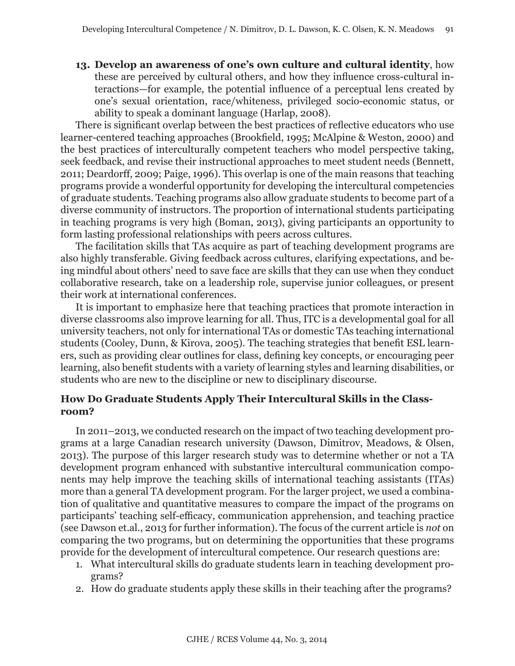**13. Develop an awareness of one's own culture and cultural identity**, how these are perceived by cultural others, and how they influence cross-cultural interactions—for example, the potential influence of a perceptual lens created by one's sexual orientation, race/whiteness, privileged socio-economic status, or ability to speak a dominant language (Harlap, 2008).

There is significant overlap between the best practices of reflective educators who use learner-centered teaching approaches (Brookfield, 1995; McAlpine & Weston, 2000) and the best practices of interculturally competent teachers who model perspective taking, seek feedback, and revise their instructional approaches to meet student needs (Bennett, 2011; Deardorff, 2009; Paige, 1996). This overlap is one of the main reasons that teaching programs provide a wonderful opportunity for developing the intercultural competencies of graduate students. Teaching programs also allow graduate students to become part of a diverse community of instructors. The proportion of international students participating in teaching programs is very high (Boman, 2013), giving participants an opportunity to form lasting professional relationships with peers across cultures.

The facilitation skills that TAs acquire as part of teaching development programs are also highly transferable. Giving feedback across cultures, clarifying expectations, and being mindful about others' need to save face are skills that they can use when they conduct collaborative research, take on a leadership role, supervise junior colleagues, or present their work at international conferences.

It is important to emphasize here that teaching practices that promote interaction in diverse classrooms also improve learning for all. Thus, ITC is a developmental goal for all university teachers, not only for international TAs or domestic TAs teaching international students (Cooley, Dunn, & Kirova, 2005). The teaching strategies that benefit ESL learners, such as providing clear outlines for class, defining key concepts, or encouraging peer learning, also benefit students with a variety of learning styles and learning disabilities, or students who are new to the discipline or new to disciplinary discourse.

# **How Do Graduate Students Apply Their Intercultural Skills in the Classroom?**

In 2011–2013, we conducted research on the impact of two teaching development programs at a large Canadian research university (Dawson, Dimitrov, Meadows, & Olsen, 2013). The purpose of this larger research study was to determine whether or not a TA development program enhanced with substantive intercultural communication components may help improve the teaching skills of international teaching assistants (ITAs) more than a general TA development program. For the larger project, we used a combination of qualitative and quantitative measures to compare the impact of the programs on participants' teaching self-efficacy, communication apprehension, and teaching practice (see Dawson et.al., 2013 for further information). The focus of the current article is *not* on comparing the two programs, but on determining the opportunities that these programs provide for the development of intercultural competence. Our research questions are:

- 1. What intercultural skills do graduate students learn in teaching development programs?
- 2. How do graduate students apply these skills in their teaching after the programs?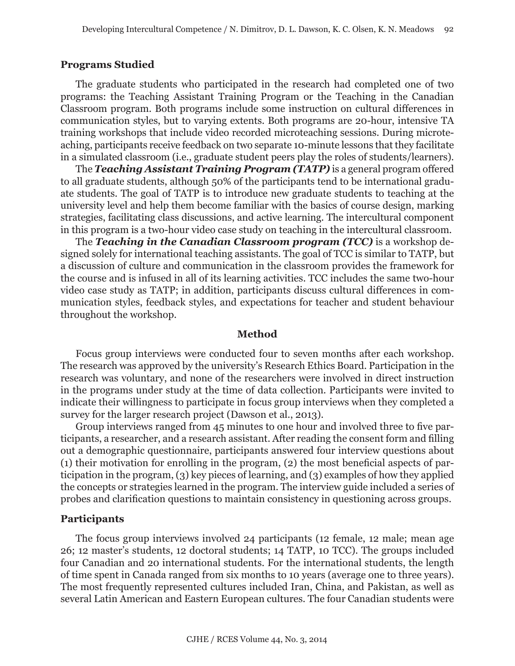#### **Programs Studied**

The graduate students who participated in the research had completed one of two programs: the Teaching Assistant Training Program or the Teaching in the Canadian Classroom program. Both programs include some instruction on cultural differences in communication styles, but to varying extents. Both programs are 20-hour, intensive TA training workshops that include video recorded microteaching sessions. During microteaching, participants receive feedback on two separate 10-minute lessons that they facilitate in a simulated classroom (i.e., graduate student peers play the roles of students/learners).

The *Teaching Assistant Training Program (TATP)* is a general program offered to all graduate students, although 50% of the participants tend to be international graduate students. The goal of TATP is to introduce new graduate students to teaching at the university level and help them become familiar with the basics of course design, marking strategies, facilitating class discussions, and active learning. The intercultural component in this program is a two-hour video case study on teaching in the intercultural classroom.

The *Teaching in the Canadian Classroom program (TCC)* is a workshop designed solely for international teaching assistants. The goal of TCC is similar to TATP, but a discussion of culture and communication in the classroom provides the framework for the course and is infused in all of its learning activities. TCC includes the same two-hour video case study as TATP; in addition, participants discuss cultural differences in communication styles, feedback styles, and expectations for teacher and student behaviour throughout the workshop.

#### **Method**

Focus group interviews were conducted four to seven months after each workshop. The research was approved by the university's Research Ethics Board. Participation in the research was voluntary, and none of the researchers were involved in direct instruction in the programs under study at the time of data collection. Participants were invited to indicate their willingness to participate in focus group interviews when they completed a survey for the larger research project (Dawson et al., 2013).

Group interviews ranged from 45 minutes to one hour and involved three to five participants, a researcher, and a research assistant. After reading the consent form and filling out a demographic questionnaire, participants answered four interview questions about (1) their motivation for enrolling in the program, (2) the most beneficial aspects of participation in the program, (3) key pieces of learning, and (3) examples of how they applied the concepts or strategies learned in the program. The interview guide included a series of probes and clarification questions to maintain consistency in questioning across groups.

#### **Participants**

The focus group interviews involved 24 participants (12 female, 12 male; mean age 26; 12 master's students, 12 doctoral students; 14 TATP, 10 TCC). The groups included four Canadian and 20 international students. For the international students, the length of time spent in Canada ranged from six months to 10 years (average one to three years). The most frequently represented cultures included Iran, China, and Pakistan, as well as several Latin American and Eastern European cultures. The four Canadian students were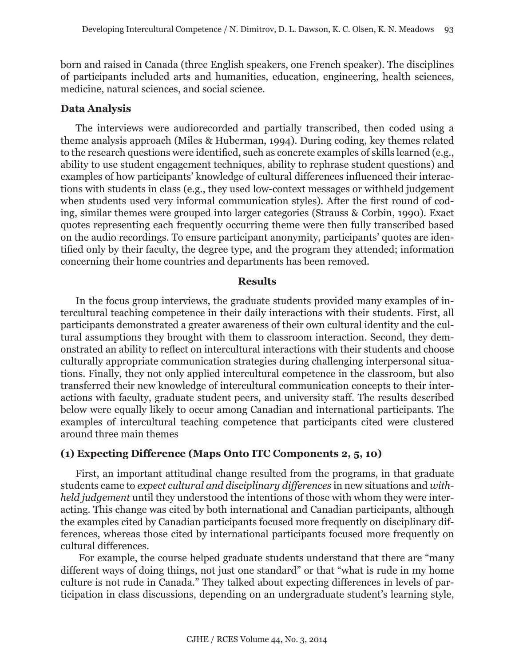born and raised in Canada (three English speakers, one French speaker). The disciplines of participants included arts and humanities, education, engineering, health sciences, medicine, natural sciences, and social science.

## **Data Analysis**

The interviews were audiorecorded and partially transcribed, then coded using a theme analysis approach (Miles & Huberman, 1994). During coding, key themes related to the research questions were identified, such as concrete examples of skills learned (e.g., ability to use student engagement techniques, ability to rephrase student questions) and examples of how participants' knowledge of cultural differences influenced their interactions with students in class (e.g., they used low-context messages or withheld judgement when students used very informal communication styles). After the first round of coding, similar themes were grouped into larger categories (Strauss & Corbin, 1990). Exact quotes representing each frequently occurring theme were then fully transcribed based on the audio recordings. To ensure participant anonymity, participants' quotes are identified only by their faculty, the degree type, and the program they attended; information concerning their home countries and departments has been removed.

#### **Results**

In the focus group interviews, the graduate students provided many examples of intercultural teaching competence in their daily interactions with their students. First, all participants demonstrated a greater awareness of their own cultural identity and the cultural assumptions they brought with them to classroom interaction. Second, they demonstrated an ability to reflect on intercultural interactions with their students and choose culturally appropriate communication strategies during challenging interpersonal situations. Finally, they not only applied intercultural competence in the classroom, but also transferred their new knowledge of intercultural communication concepts to their interactions with faculty, graduate student peers, and university staff. The results described below were equally likely to occur among Canadian and international participants. The examples of intercultural teaching competence that participants cited were clustered around three main themes

# **(1) Expecting Difference (Maps Onto ITC Components 2, 5, 10)**

First, an important attitudinal change resulted from the programs, in that graduate students came to *expect cultural and disciplinary differences* in new situations and *withheld judgement* until they understood the intentions of those with whom they were interacting. This change was cited by both international and Canadian participants, although the examples cited by Canadian participants focused more frequently on disciplinary differences, whereas those cited by international participants focused more frequently on cultural differences.

 For example, the course helped graduate students understand that there are "many different ways of doing things, not just one standard" or that "what is rude in my home culture is not rude in Canada*.*" They talked about expecting differences in levels of participation in class discussions, depending on an undergraduate student's learning style,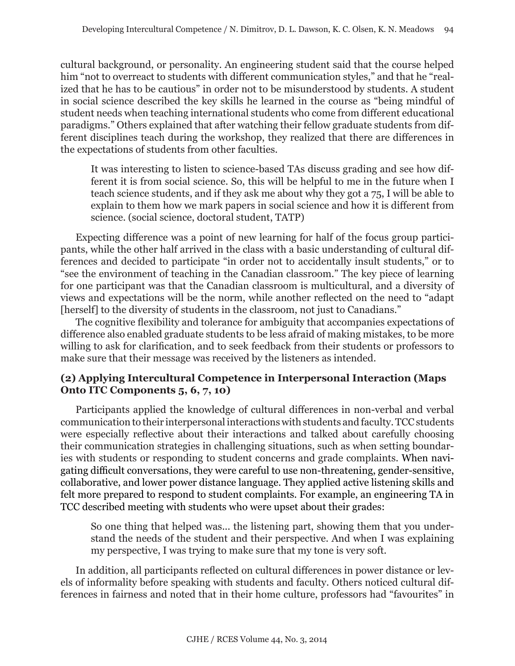cultural background, or personality. An engineering student said that the course helped him "not to overreact to students with different communication styles," and that he "realized that he has to be cautious" in order not to be misunderstood by students. A student in social science described the key skills he learned in the course as "being mindful of student needs when teaching international students who come from different educational paradigms." Others explained that after watching their fellow graduate students from different disciplines teach during the workshop, they realized that there are differences in the expectations of students from other faculties.

It was interesting to listen to science-based TAs discuss grading and see how different it is from social science. So, this will be helpful to me in the future when I teach science students, and if they ask me about why they got a 75, I will be able to explain to them how we mark papers in social science and how it is different from science. (social science, doctoral student, TATP)

Expecting difference was a point of new learning for half of the focus group participants, while the other half arrived in the class with a basic understanding of cultural differences and decided to participate "in order not to accidentally insult students," or to "see the environment of teaching in the Canadian classroom." The key piece of learning for one participant was that the Canadian classroom is multicultural, and a diversity of views and expectations will be the norm, while another reflected on the need to "adapt [herself] to the diversity of students in the classroom, not just to Canadians."

The cognitive flexibility and tolerance for ambiguity that accompanies expectations of difference also enabled graduate students to be less afraid of making mistakes, to be more willing to ask for clarification, and to seek feedback from their students or professors to make sure that their message was received by the listeners as intended.

# **(2) Applying Intercultural Competence in Interpersonal Interaction (Maps Onto ITC Components 5, 6, 7, 10)**

Participants applied the knowledge of cultural differences in non-verbal and verbal communication to their interpersonal interactions with students and faculty. TCC students were especially reflective about their interactions and talked about carefully choosing their communication strategies in challenging situations, such as when setting boundaries with students or responding to student concerns and grade complaints. When navigating difficult conversations, they were careful to use non-threatening, gender-sensitive, collaborative, and lower power distance language. They applied active listening skills and felt more prepared to respond to student complaints. For example, an engineering TA in TCC described meeting with students who were upset about their grades:

So one thing that helped was... the listening part, showing them that you understand the needs of the student and their perspective. And when I was explaining my perspective, I was trying to make sure that my tone is very soft.

In addition, all participants reflected on cultural differences in power distance or levels of informality before speaking with students and faculty. Others noticed cultural differences in fairness and noted that in their home culture, professors had "favourites" in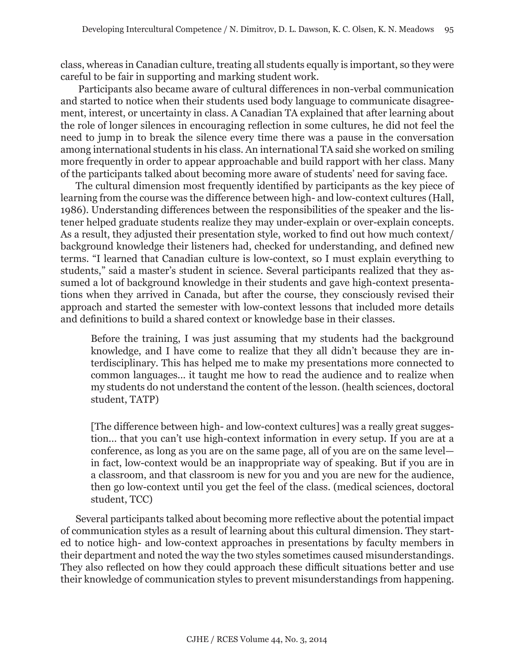class, whereas in Canadian culture, treating all students equally is important, so they were careful to be fair in supporting and marking student work.

 Participants also became aware of cultural differences in non-verbal communication and started to notice when their students used body language to communicate disagreement, interest, or uncertainty in class. A Canadian TA explained that after learning about the role of longer silences in encouraging reflection in some cultures, he did not feel the need to jump in to break the silence every time there was a pause in the conversation among international students in his class. An international TA said she worked on smiling more frequently in order to appear approachable and build rapport with her class. Many of the participants talked about becoming more aware of students' need for saving face.

The cultural dimension most frequently identified by participants as the key piece of learning from the course was the difference between high- and low-context cultures (Hall, 1986). Understanding differences between the responsibilities of the speaker and the listener helped graduate students realize they may under-explain or over-explain concepts. As a result, they adjusted their presentation style, worked to find out how much context/ background knowledge their listeners had, checked for understanding, and defined new terms. "I learned that Canadian culture is low-context, so I must explain everything to students," said a master's student in science. Several participants realized that they assumed a lot of background knowledge in their students and gave high-context presentations when they arrived in Canada, but after the course, they consciously revised their approach and started the semester with low-context lessons that included more details and definitions to build a shared context or knowledge base in their classes.

Before the training, I was just assuming that my students had the background knowledge, and I have come to realize that they all didn't because they are interdisciplinary. This has helped me to make my presentations more connected to common languages... it taught me how to read the audience and to realize when my students do not understand the content of the lesson. (health sciences, doctoral student, TATP)

[The difference between high- and low-context cultures] was a really great suggestion... that you can't use high-context information in every setup. If you are at a conference, as long as you are on the same page, all of you are on the same level in fact, low-context would be an inappropriate way of speaking. But if you are in a classroom, and that classroom is new for you and you are new for the audience, then go low-context until you get the feel of the class. (medical sciences, doctoral student, TCC)

Several participants talked about becoming more reflective about the potential impact of communication styles as a result of learning about this cultural dimension. They started to notice high- and low-context approaches in presentations by faculty members in their department and noted the way the two styles sometimes caused misunderstandings. They also reflected on how they could approach these difficult situations better and use their knowledge of communication styles to prevent misunderstandings from happening.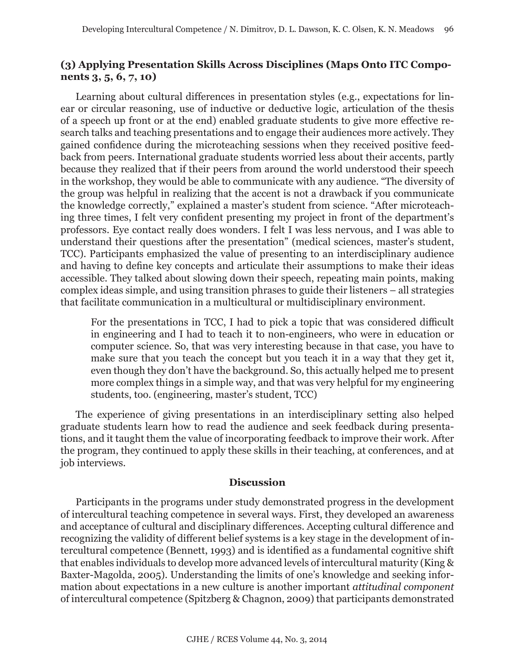# **(3) Applying Presentation Skills Across Disciplines (Maps Onto ITC Components 3, 5, 6, 7, 10)**

Learning about cultural differences in presentation styles (e.g., expectations for linear or circular reasoning, use of inductive or deductive logic, articulation of the thesis of a speech up front or at the end) enabled graduate students to give more effective research talks and teaching presentations and to engage their audiences more actively. They gained confidence during the microteaching sessions when they received positive feedback from peers. International graduate students worried less about their accents, partly because they realized that if their peers from around the world understood their speech in the workshop, they would be able to communicate with any audience. "The diversity of the group was helpful in realizing that the accent is not a drawback if you communicate the knowledge correctly," explained a master's student from science. "After microteaching three times, I felt very confident presenting my project in front of the department's professors. Eye contact really does wonders. I felt I was less nervous, and I was able to understand their questions after the presentation" (medical sciences, master's student, TCC). Participants emphasized the value of presenting to an interdisciplinary audience and having to define key concepts and articulate their assumptions to make their ideas accessible. They talked about slowing down their speech, repeating main points, making complex ideas simple, and using transition phrases to guide their listeners – all strategies that facilitate communication in a multicultural or multidisciplinary environment.

For the presentations in TCC, I had to pick a topic that was considered difficult in engineering and I had to teach it to non-engineers, who were in education or computer science. So, that was very interesting because in that case, you have to make sure that you teach the concept but you teach it in a way that they get it, even though they don't have the background. So, this actually helped me to present more complex things in a simple way, and that was very helpful for my engineering students, too. (engineering, master's student, TCC)

The experience of giving presentations in an interdisciplinary setting also helped graduate students learn how to read the audience and seek feedback during presentations, and it taught them the value of incorporating feedback to improve their work. After the program, they continued to apply these skills in their teaching, at conferences, and at job interviews.

#### **Discussion**

Participants in the programs under study demonstrated progress in the development of intercultural teaching competence in several ways. First, they developed an awareness and acceptance of cultural and disciplinary differences. Accepting cultural difference and recognizing the validity of different belief systems is a key stage in the development of intercultural competence (Bennett, 1993) and is identified as a fundamental cognitive shift that enables individuals to develop more advanced levels of intercultural maturity (King & Baxter-Magolda, 2005). Understanding the limits of one's knowledge and seeking information about expectations in a new culture is another important *attitudinal component* of intercultural competence (Spitzberg & Chagnon, 2009) that participants demonstrated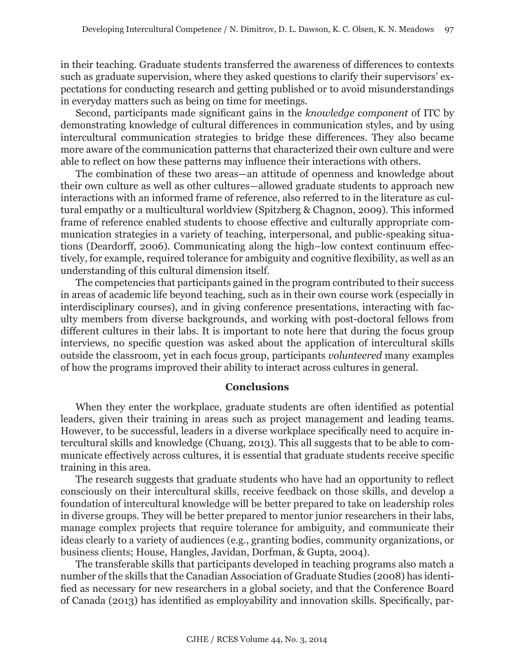in their teaching. Graduate students transferred the awareness of differences to contexts such as graduate supervision, where they asked questions to clarify their supervisors' expectations for conducting research and getting published or to avoid misunderstandings in everyday matters such as being on time for meetings.

Second, participants made significant gains in the *knowledge component* of ITC by demonstrating knowledge of cultural differences in communication styles, and by using intercultural communication strategies to bridge these differences. They also became more aware of the communication patterns that characterized their own culture and were able to reflect on how these patterns may influence their interactions with others.

The combination of these two areas—an attitude of openness and knowledge about their own culture as well as other cultures—allowed graduate students to approach new interactions with an informed frame of reference, also referred to in the literature as cultural empathy or a multicultural worldview (Spitzberg & Chagnon, 2009). This informed frame of reference enabled students to choose effective and culturally appropriate communication strategies in a variety of teaching, interpersonal, and public-speaking situations (Deardorff, 2006). Communicating along the high–low context continuum effectively, for example, required tolerance for ambiguity and cognitive flexibility, as well as an understanding of this cultural dimension itself.

The competencies that participants gained in the program contributed to their success in areas of academic life beyond teaching, such as in their own course work (especially in interdisciplinary courses), and in giving conference presentations, interacting with faculty members from diverse backgrounds, and working with post-doctoral fellows from different cultures in their labs. It is important to note here that during the focus group interviews, no specific question was asked about the application of intercultural skills outside the classroom, yet in each focus group, participants *volunteered* many examples of how the programs improved their ability to interact across cultures in general.

#### **Conclusions**

When they enter the workplace, graduate students are often identified as potential leaders, given their training in areas such as project management and leading teams. However, to be successful, leaders in a diverse workplace specifically need to acquire intercultural skills and knowledge (Chuang, 2013). This all suggests that to be able to communicate effectively across cultures, it is essential that graduate students receive specific training in this area.

The research suggests that graduate students who have had an opportunity to reflect consciously on their intercultural skills, receive feedback on those skills, and develop a foundation of intercultural knowledge will be better prepared to take on leadership roles in diverse groups. They will be better prepared to mentor junior researchers in their labs, manage complex projects that require tolerance for ambiguity, and communicate their ideas clearly to a variety of audiences (e.g., granting bodies, community organizations, or business clients; House, Hangles, Javidan, Dorfman, & Gupta, 2004).

The transferable skills that participants developed in teaching programs also match a number of the skills that the Canadian Association of Graduate Studies (2008) has identified as necessary for new researchers in a global society, and that the Conference Board of Canada (2013) has identified as employability and innovation skills. Specifically, par-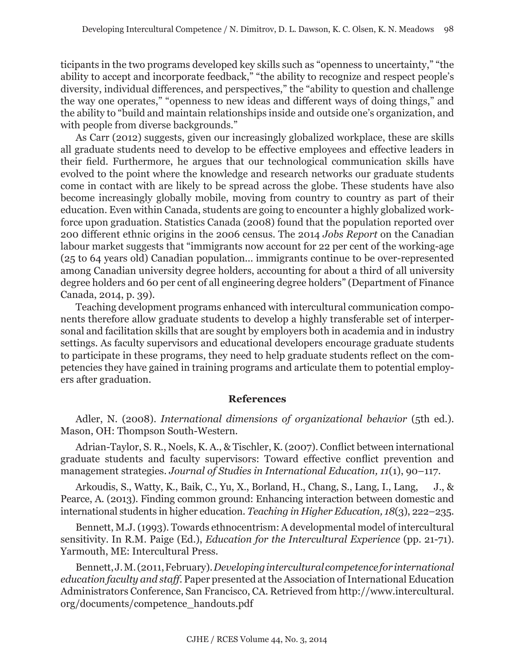ticipants in the two programs developed key skills such as "openness to uncertainty," "the ability to accept and incorporate feedback," "the ability to recognize and respect people's diversity, individual differences, and perspectives," the "ability to question and challenge the way one operates," "openness to new ideas and different ways of doing things," and the ability to "build and maintain relationships inside and outside one's organization, and with people from diverse backgrounds."

As Carr (2012) suggests, given our increasingly globalized workplace, these are skills all graduate students need to develop to be effective employees and effective leaders in their field. Furthermore, he argues that our technological communication skills have evolved to the point where the knowledge and research networks our graduate students come in contact with are likely to be spread across the globe. These students have also become increasingly globally mobile, moving from country to country as part of their education. Even within Canada, students are going to encounter a highly globalized workforce upon graduation. Statistics Canada (2008) found that the population reported over 200 different ethnic origins in the 2006 census. The 2014 *Jobs Report* on the Canadian labour market suggests that "immigrants now account for 22 per cent of the working-age (25 to 64 years old) Canadian population... immigrants continue to be over-represented among Canadian university degree holders, accounting for about a third of all university degree holders and 60 per cent of all engineering degree holders" (Department of Finance Canada, 2014, p. 39).

Teaching development programs enhanced with intercultural communication components therefore allow graduate students to develop a highly transferable set of interpersonal and facilitation skills that are sought by employers both in academia and in industry settings. As faculty supervisors and educational developers encourage graduate students to participate in these programs, they need to help graduate students reflect on the competencies they have gained in training programs and articulate them to potential employers after graduation.

## **References**

Adler, N. (2008). *International dimensions of organizational behavior* (5th ed.). Mason, OH: Thompson South-Western.

Adrian-Taylor, S. R., Noels, K. A., & Tischler, K. (2007). Conflict between international graduate students and faculty supervisors: Toward effective conflict prevention and management strategies. *Journal of Studies in International Education, 11*(1), 90–117.

Arkoudis, S., Watty, K., Baik, C., Yu, X., Borland, H., Chang, S., Lang, I., Lang, J., & Pearce, A. (2013). Finding common ground: Enhancing interaction between domestic and international students in higher education. *Teaching in Higher Education, 18*(3), 222–235.

Bennett, M.J. (1993). Towards ethnocentrism: A developmental model of intercultural sensitivity. In R.M. Paige (Ed.), *Education for the Intercultural Experience* (pp. 21-71). Yarmouth, ME: Intercultural Press.

Bennett, J. M. (2011, February).*Developing intercultural competence for international education faculty and staff.* Paper presented at the Association of International Education Administrators Conference, San Francisco, CA. Retrieved from http://www.intercultural. org/documents/competence\_handouts.pdf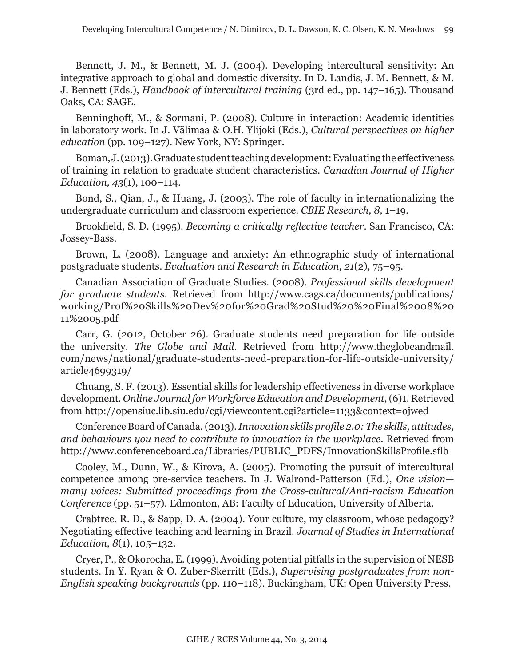Bennett, J. M., & Bennett, M. J. (2004). Developing intercultural sensitivity: An integrative approach to global and domestic diversity. In D. Landis, J. M. Bennett, & M. J. Bennett (Eds.), *Handbook of intercultural training* (3rd ed., pp. 147–165). Thousand Oaks, CA: SAGE.

Benninghoff, M., & Sormani, P. (2008). Culture in interaction: Academic identities in laboratory work. In J. Välimaa & O.H. Ylijoki (Eds.), *Cultural perspectives on higher education* (pp. 109–127). New York, NY: Springer.

Boman, J. (2013). Graduate student teaching development: Evaluating the effectiveness of training in relation to graduate student characteristics. *Canadian Journal of Higher Education, 43*(1), 100–114.

Bond, S., Qian, J., & Huang, J. (2003). The role of faculty in internationalizing the undergraduate curriculum and classroom experience. *CBIE Research, 8*, 1–19.

Brookfield, S. D. (1995). *Becoming a critically reflective teacher*. San Francisco, CA: Jossey-Bass.

Brown, L. (2008). Language and anxiety: An ethnographic study of international postgraduate students. *Evaluation and Research in Education*, *21*(2), 75–95.

Canadian Association of Graduate Studies. (2008). *Professional skills development for graduate students*. Retrieved from http://www.cags.ca/documents/publications/ working/Prof%20Skills%20Dev%20for%20Grad%20Stud%20%20Final%2008%20 11%2005.pdf

Carr, G. (2012, October 26). Graduate students need preparation for life outside the university. *The Globe and Mail*. Retrieved from http://www.theglobeandmail. com/news/national/graduate-students-need-preparation-for-life-outside-university/ article4699319/

Chuang, S. F. (2013). Essential skills for leadership effectiveness in diverse workplace development. *Online Journal for Workforce Education and Development*, (6)1. Retrieved from http://opensiuc.lib.siu.edu/cgi/viewcontent.cgi?article=1133&context=ojwed

Conference Board of Canada. (2013). *Innovation skills profile 2.0: The skills, attitudes, and behaviours you need to contribute to innovation in the workplace*. Retrieved from http://www.conferenceboard.ca/Libraries/PUBLIC\_PDFS/InnovationSkillsProfile.sflb

Cooley, M., Dunn, W., & Kirova, A. (2005). Promoting the pursuit of intercultural competence among pre-service teachers. In J. Walrond-Patterson (Ed.), *One vision many voices: Submitted proceedings from the Cross-cultural/Anti-racism Education Conference* (pp. 51–57). Edmonton, AB: Faculty of Education, University of Alberta.

Crabtree, R. D., & Sapp, D. A. (2004). Your culture, my classroom, whose pedagogy? Negotiating effective teaching and learning in Brazil. *Journal of Studies in International Education*, *8*(1), 105–132.

Cryer, P., & Okorocha, E. (1999). Avoiding potential pitfalls in the supervision of NESB students. In Y. Ryan & O. Zuber-Skerritt (Eds.), *Supervising postgraduates from non-English speaking backgrounds* (pp. 110–118). Buckingham, UK: Open University Press.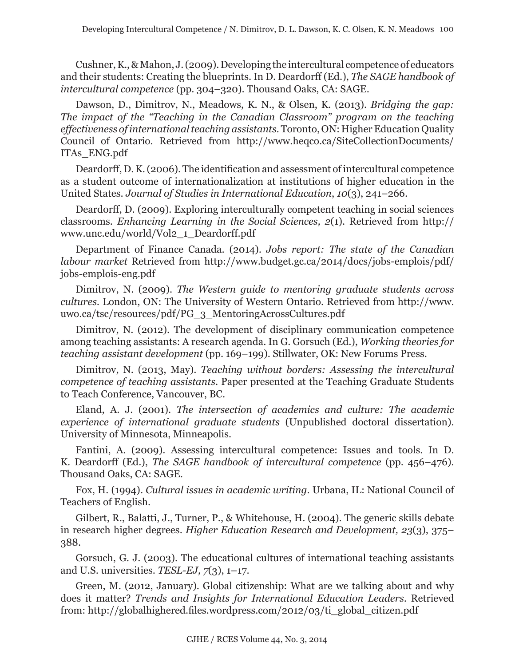Cushner, K., & Mahon, J. (2009). Developing the intercultural competence of educators and their students: Creating the blueprints. In D. Deardorff (Ed.), *The SAGE handbook of intercultural competence* (pp. 304–320). Thousand Oaks, CA: SAGE.

Dawson, D., Dimitrov, N., Meadows, K. N., & Olsen, K. (2013). *Bridging the gap: The impact of the "Teaching in the Canadian Classroom" program on the teaching effectiveness of international teaching assistants.* Toronto, ON: Higher Education Quality Council of Ontario. Retrieved from http://www.heqco.ca/SiteCollectionDocuments/ ITAs\_ENG.pdf

Deardorff, D. K. (2006). The identification and assessment of intercultural competence as a student outcome of internationalization at institutions of higher education in the United States. *Journal of Studies in International Education*, *10*(3), 241–266.

Deardorff, D. (2009). Exploring interculturally competent teaching in social sciences classrooms. *Enhancing Learning in the Social Sciences, 2*(1). Retrieved from http:// www.unc.edu/world/Vol2\_1\_Deardorff.pdf

Department of Finance Canada. (2014). *Jobs report: The state of the Canadian labour market* Retrieved from http://www.budget.gc.ca/2014/docs/jobs-emplois/pdf/ jobs-emplois-eng.pdf

Dimitrov, N. (2009). *The Western guide to mentoring graduate students across cultures.* London, ON: The University of Western Ontario. Retrieved from http://www. uwo.ca/tsc/resources/pdf/PG\_3\_MentoringAcrossCultures.pdf

Dimitrov, N. (2012). The development of disciplinary communication competence among teaching assistants: A research agenda. In G. Gorsuch (Ed.), *Working theories for teaching assistant development* (pp. 169–199). Stillwater, OK: New Forums Press.

Dimitrov, N. (2013, May). *Teaching without borders: Assessing the intercultural competence of teaching assistants*. Paper presented at the Teaching Graduate Students to Teach Conference, Vancouver, BC.

Eland, A. J. (2001). *The intersection of academics and culture: The academic experience of international graduate students* (Unpublished doctoral dissertation). University of Minnesota, Minneapolis.

Fantini, A. (2009). Assessing intercultural competence: Issues and tools. In D. K. Deardorff (Ed.), *The SAGE handbook of intercultural competence* (pp. 456–476)*.*  Thousand Oaks, CA: SAGE.

Fox, H. (1994). *Cultural issues in academic writing*. Urbana, IL: National Council of Teachers of English.

Gilbert, R., Balatti, J., Turner, P., & Whitehouse, H. (2004). The generic skills debate in research higher degrees. *Higher Education Research and Development, 23*(3), 375– 388.

Gorsuch, G. J. (2003). The educational cultures of international teaching assistants and U.S. universities. *TESL-EJ, 7*(3), 1–17.

Green, M. (2012, January). Global citizenship: What are we talking about and why does it matter? *Trends and Insights for International Education Leaders*. Retrieved from: http://globalhighered.files.wordpress.com/2012/03/ti\_global\_citizen.pdf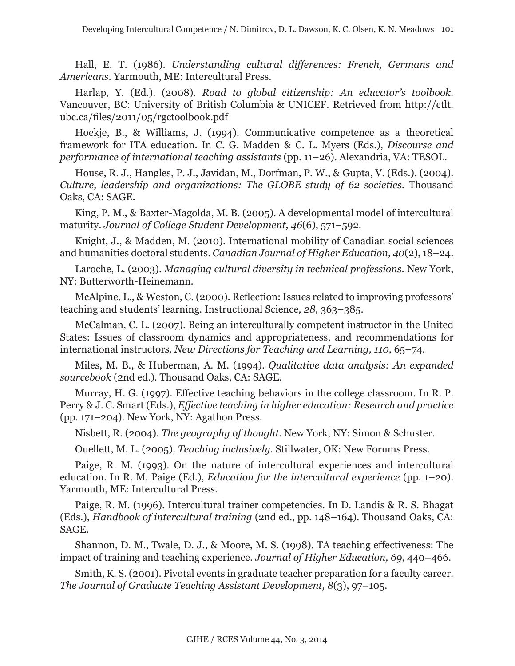Hall, E. T. (1986). *Understanding cultural differences: French, Germans and Americans*. Yarmouth, ME: Intercultural Press.

Harlap, Y. (Ed.). (2008). *Road to global citizenship: An educator's toolbook*. Vancouver, BC: University of British Columbia & UNICEF. Retrieved from http://ctlt. ubc.ca/files/2011/05/rgctoolbook.pdf

Hoekje, B., & Williams, J. (1994). Communicative competence as a theoretical framework for ITA education. In C. G. Madden & C. L. Myers (Eds.), *Discourse and performance of international teaching assistants* (pp. 11–26). Alexandria, VA: TESOL.

House, R. J., Hangles, P. J., Javidan, M., Dorfman, P. W., & Gupta, V. (Eds.). (2004). *Culture, leadership and organizations: The GLOBE study of 62 societies*. Thousand Oaks, CA: SAGE.

King, P. M., & Baxter-Magolda, M. B. (2005). A developmental model of intercultural maturity. *Journal of College Student Development, 46*(6), 571–592.

Knight, J., & Madden, M. (2010). International mobility of Canadian social sciences and humanities doctoral students. *Canadian Journal of Higher Education, 40*(2), 18–24.

Laroche, L. (2003). *Managing cultural diversity in technical professions*. New York, NY: Butterworth-Heinemann.

McAlpine, L., & Weston, C. (2000). Reflection: Issues related to improving professors' teaching and students' learning. Instructional Science*, 28*, 363–385.

McCalman, C. L. (2007). Being an interculturally competent instructor in the United States: Issues of classroom dynamics and appropriateness, and recommendations for international instructors. *New Directions for Teaching and Learning, 110*, 65–74.

Miles, M. B., & Huberman, A. M. (1994). *Qualitative data analysis: An expanded sourcebook* (2nd ed.). Thousand Oaks, CA: SAGE.

Murray, H. G. (1997). Effective teaching behaviors in the college classroom. In R. P. Perry & J. C. Smart (Eds.), *Effective teaching in higher education: Research and practice* (pp. 171–204). New York, NY: Agathon Press.

Nisbett, R. (2004). *The geography of thought*. New York, NY: Simon & Schuster.

Ouellett, M. L. (2005). *Teaching inclusively*. Stillwater, OK: New Forums Press.

Paige, R. M. (1993). On the nature of intercultural experiences and intercultural education. In R. M. Paige (Ed.), *Education for the intercultural experience* (pp. 1–20). Yarmouth, ME: Intercultural Press.

Paige, R. M. (1996). Intercultural trainer competencies. In D. Landis & R. S. Bhagat (Eds.), *Handbook of intercultural training* (2nd ed., pp. 148–164). Thousand Oaks, CA: SAGE.

Shannon, D. M., Twale, D. J., & Moore, M. S. (1998). TA teaching effectiveness: The impact of training and teaching experience. *Journal of Higher Education, 69*, 440–466.

Smith, K. S. (2001). Pivotal events in graduate teacher preparation for a faculty career. *The Journal of Graduate Teaching Assistant Development, 8*(3), 97–105.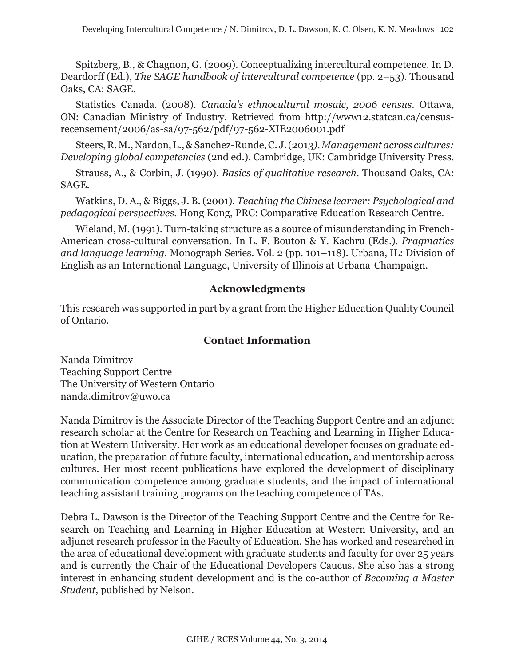Spitzberg, B., & Chagnon, G. (2009). Conceptualizing intercultural competence. In D. Deardorff (Ed.), *The SAGE handbook of intercultural competence* (pp. 2–53). Thousand Oaks, CA: SAGE.

Statistics Canada. (2008). *Canada's ethnocultural mosaic*, *2006 census*. Ottawa, ON: Canadian Ministry of Industry. Retrieved from http://www12.statcan.ca/censusrecensement/2006/as-sa/97-562/pdf/97-562-XIE2006001.pdf

Steers, R. M., Nardon, L., & Sanchez-Runde, C. J. (2013*). Management across cultures: Developing global competencies* (2nd ed.). Cambridge, UK: Cambridge University Press.

Strauss, A., & Corbin, J. (1990). *Basics of qualitative research*. Thousand Oaks, CA: SAGE.

Watkins, D. A., & Biggs, J. B. (2001)*. Teaching the Chinese learner: Psychological and pedagogical perspectives.* Hong Kong, PRC: Comparative Education Research Centre.

Wieland, M. (1991). Turn-taking structure as a source of misunderstanding in French-American cross-cultural conversation. In L. F. Bouton & Y. Kachru (Eds.). *Pragmatics and language learning*. Monograph Series. Vol. 2 (pp. 101–118). Urbana, IL: Division of English as an International Language, University of Illinois at Urbana-Champaign.

## **Acknowledgments**

This research was supported in part by a grant from the Higher Education Quality Council of Ontario.

## **Contact Information**

Nanda Dimitrov Teaching Support Centre The University of Western Ontario nanda.dimitrov@uwo.ca

Nanda Dimitrov is the Associate Director of the Teaching Support Centre and an adjunct research scholar at the Centre for Research on Teaching and Learning in Higher Education at Western University. Her work as an educational developer focuses on graduate education, the preparation of future faculty, international education, and mentorship across cultures. Her most recent publications have explored the development of disciplinary communication competence among graduate students, and the impact of international teaching assistant training programs on the teaching competence of TAs.

Debra L. Dawson is the Director of the Teaching Support Centre and the Centre for Research on Teaching and Learning in Higher Education at Western University, and an adjunct research professor in the Faculty of Education. She has worked and researched in the area of educational development with graduate students and faculty for over 25 years and is currently the Chair of the Educational Developers Caucus. She also has a strong interest in enhancing student development and is the co-author of *Becoming a Master Student*, published by Nelson.